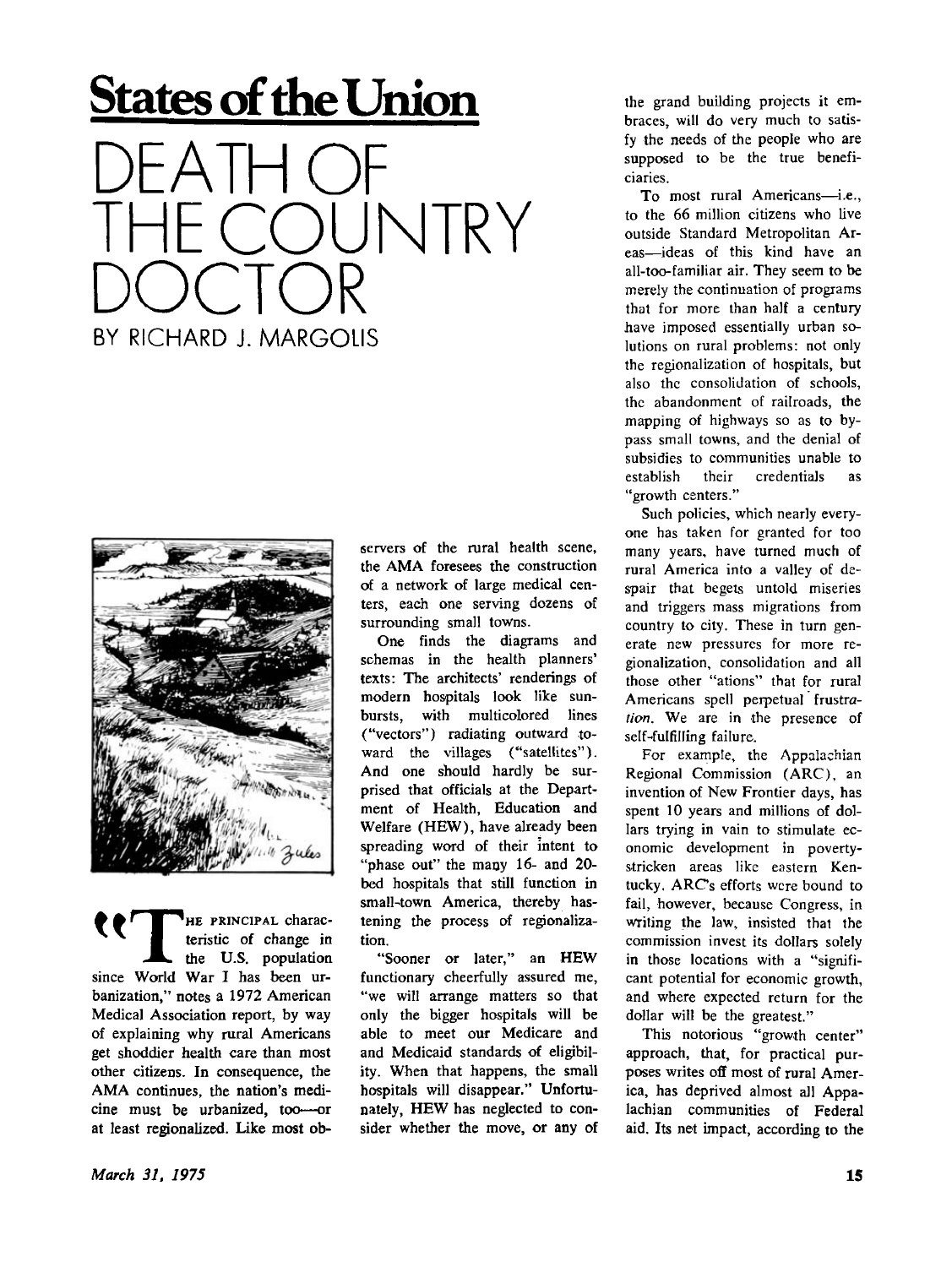## **States of the Union**





HE PRINCIPAL charac-**^ I** teristic of change in the U.S. population since World War I has been urbanization," notes a 1972 American Medical Association report, by way of explaining why rural Americans get shoddier health care than most other citizens. In consequence, the AMA continues, the nation's medicine must be urbanized, too—or at least regionalized. Like most observers of the rural health scene, the AMA foresees the construction of a network of large medical centers, each one serving dozens of surrounding small towns.

One finds the diagrams and schemas in the health planners' texts: The architects' renderings of modern hospitals look like sunbursts, with multicolored lines ("vectors") radiating outward toward the villages ("satellites"). And one should hardly be surprised that officials at the Department of Health, Education and Welfare (HEW) , have already been spreading word of their intent to "phase out" the many 16- and 20 bed hospitals that still function in small-town America, thereby hastening the process of regjonalization.

"Sooner or later," an HEW functionary cheerfully assured me, "we will arrange matters so that only the bigger hospitals will be able to meet our Medicare and and Medicaid standards of eligibility. When that happens, the small hospitals will disappear." Unfortunately. HEW has neglected to consider whether the move, or any of the grand building projects it embraces, will do very much to satisfy the needs of the people who are supposed to be the true beneficiaries.

To most rural Americans—i.e., to the 66 million citizens who live outside Standard Metropolitan Areas—ideas of this kind have an all-too-familiar air. They seem to be merely the continuation of programs that for more than half a century have imposed essentially urban solutions on rural problems: not only the regionalization of hospitals, but also the consolidation of schools, the abandonment of railroads, the mapping of highways so as to bypass small towns, and the denial of subsidies to communities unable to establish their credentials as "growth centers."

Such policies, which nearly everyone has taken for granted for too many years, have turned much of rural America into a valley of despair that begets untold miseries and triggers mass migrations from country to city. These in turn generate new pressures for more regionalization, consolidation and all those other "ations" that for rural Americans spell perpetual frustra*tion.* We are in the presence of self-fulfilling failure.

For example, the Appalachian Regional Commission (ARC), an invention of New Frontier days, has spent 10 years and millions of dollars trying in vain to stimulate economic development in povertystricken areas like eastern Kentucky. ARC's efforts were bound to fail, however, because Congress, in writing the law, insisted that the commission invest its dollars solely in those locations with a "significant potential for economic growth, and where expected return for the dollar will be the greatest."

This notorious "growth center" approach, that, for practical purposes writes off most of rural America, has deprived almost all Appalachian communities of Federal aid. Its net impact, according to the